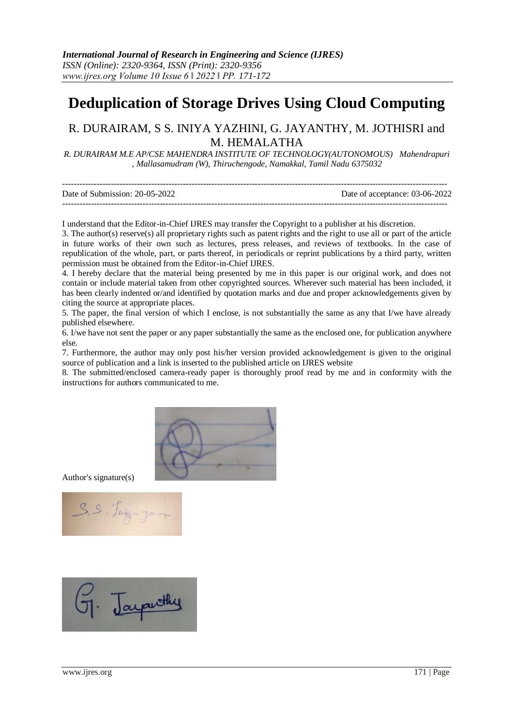## **Deduplication of Storage Drives Using Cloud Computing**

## R. DURAIRAM, S S. INIYA YAZHINI, G. JAYANTHY, M. JOTHISRI and M. HEMALATHA

*R. DURAIRAM M.E AP/CSE MAHENDRA INSTITUTE OF TECHNOLOGY(AUTONOMOUS) Mahendrapuri , Mallasamudram (W), Thiruchengode, Namakkal, Tamil Nadu 6375032* 

| Date of Submission: 20-05-2022 | Date of acceptance: 03-06-2022 |
|--------------------------------|--------------------------------|
|                                |                                |

I understand that the Editor-in-Chief IJRES may transfer the Copyright to a publisher at his discretion.

3. The author(s) reserve(s) all proprietary rights such as patent rights and the right to use all or part of the article in future works of their own such as lectures, press releases, and reviews of textbooks. In the case of republication of the whole, part, or parts thereof, in periodicals or reprint publications by a third party, written permission must be obtained from the Editor-in-Chief IJRES.

4. I hereby declare that the material being presented by me in this paper is our original work, and does not contain or include material taken from other copyrighted sources. Wherever such material has been included, it has been clearly indented or/and identified by quotation marks and due and proper acknowledgements given by citing the source at appropriate places.

5. The paper, the final version of which I enclose, is not substantially the same as any that I/we have already published elsewhere.

6. I/we have not sent the paper or any paper substantially the same as the enclosed one, for publication anywhere else.

7. Furthermore, the author may only post his/her version provided acknowledgement is given to the original source of publication and a link is inserted to the published article on IJRES website

8. The submitted/enclosed camera-ready paper is thoroughly proof read by me and in conformity with the instructions for authors communicated to me.



Author's signature(s)